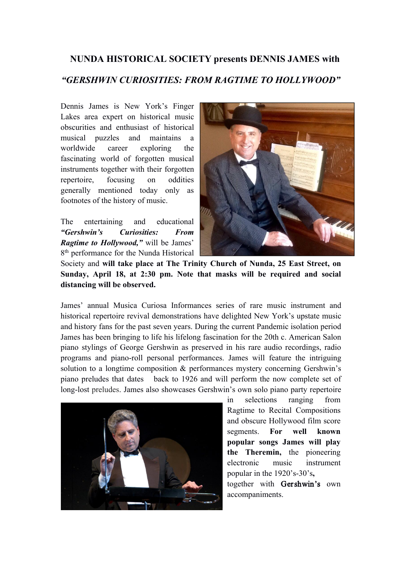## **NUNDA HISTORICAL SOCIETY presents DENNIS JAMES with** *"GERSHWIN CURIOSITIES: FROM RAGTIME TO HOLLYWOOD"*

Dennis James is New York's Finger Lakes area expert on historical music obscurities and enthusiast of historical musical puzzles and maintains a worldwide career exploring the fascinating world of forgotten musical instruments together with their forgotten repertoire, focusing on oddities generally mentioned today only as footnotes of the history of music.

The entertaining and educational *"Gershwin's Curiosities: From Ragtime to Hollywood,"* will be James' 8<sup>th</sup> performance for the Nunda Historical



Society and **will take place at The Trinity Church of Nunda, 25 East Street, on Sunday, April 18, at 2:30 pm. Note that masks will be required and social distancing will be observed.**

James' annual Musica Curiosa Informances series of rare music instrument and historical repertoire revival demonstrations have delighted New York's upstate music and history fans for the past seven years. During the current Pandemic isolation period James has been bringing to life his lifelong fascination for the 20th c. American Salon piano stylings of George Gershwin as preserved in his rare audio recordings, radio programs and piano-roll personal performances. James will feature the intriguing solution to a longtime composition & performances mystery concerning Gershwin's piano preludes that dates back to 1926 and will perform the now complete set of long-lost preludes. James also showcases Gershwin's own solo piano party repertoire



in selections ranging from Ragtime to Recital Compositions and obscure Hollywood film score segments. **For well known popular songs James** will play **the Theremin,** the pioneering electronic music instrument popular in the 1920's-30's**,**

together with Gershwin's own accompaniments.